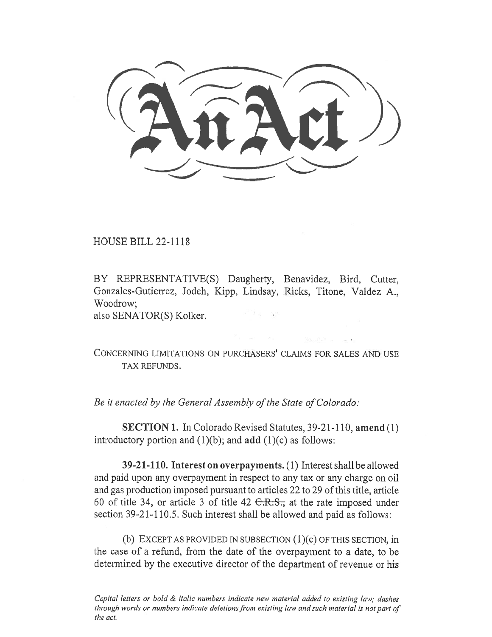C(:tn-rct))

HOUSE BILL 22-1118

BY REPRESENTATIVE(S) Daugherty, Benavidez, Bird, Cutter, Gonzales-Gutierrez, Jodeh, Kipp, Lindsay, Ricks, Titone, Valdez A., Woodrow; also SENATOR(S) Kolker.

CONCERNING LIMITATIONS ON PURCHASERS' CLAIMS FOR SALES AND USE TAX REFUNDS.

Be it enacted by the General Assembly of the State of Colorado:

SECTION 1. In Colorado Revised Statutes, 39-21-110, amend (1) introductory portion and  $(1)(b)$ ; and add  $(1)(c)$  as follows:

39-21-110. Interest on overpayments. (1) Interest shall be allowed and paid upon any overpayment in respect to any tax or any charge on oil and gas production imposed pursuant to articles 22 to 29 of this title, article 60 of title 34, or article 3 of title 42  $C.R.S.,$  at the rate imposed under section 39-21-110.5. Such interest shall be allowed and paid as follows:

(b) EXCEPT AS PROVIDED IN SUBSECTION  $(1)(c)$  OF THIS SECTION, in the case of a refund, from the date of the overpayment to a date, to be determined by the executive director of the department of revenue or his

Capital letters or bold & italic numbers indicate new material added to existing law; dashes through words or numbers indicate deletions from existing law and such material is not part of the act.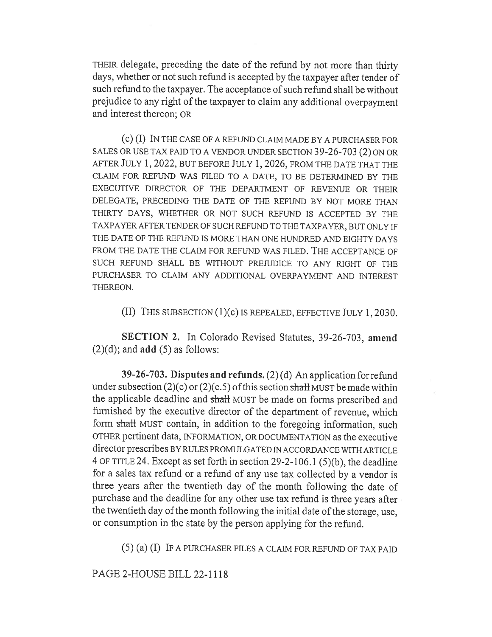THEIR delegate, preceding the date of the refund by not more than thirty days, whether or not such refund is accepted by the taxpayer after tender of such refund to the taxpayer. The acceptance of such refund shall be without prejudice to any right of the taxpayer to claim any additional overpayment and interest thereon; OR

(c) (I) IN THE CASE OF A REFUND CLAIM MADE BY A PURCHASER FOR SALES OR USE TAX PAID TO A VENDOR UNDER SECTION 39-26-703 (2) ON OR AFTER JULY 1, 2022, BUT BEFORE JULY 1, 2026, FROM THE DATE THAT THE CLAIM FOR REFUND WAS FILED TO A DATE, TO BE DETERMINED BY THE EXECUTIVE DIRECTOR OF THE DEPARTMENT OF REVENUE OR THEIR DELEGATE, PRECEDING THE DATE OF THE REFUND BY NOT MORE THAN THIRTY DAYS, WHETHER OR NOT SUCH REFUND IS ACCEPTED BY THE TAXPAYER AFTER TENDER OF SUCH REFUND TO THE TAXPAYER, BUT ONLY IF THE DATE OF THE REFUND IS MORE THAN ONE HUNDRED AND EIGHTY DAYS FROM THE DATE THE CLAIM FOR REFUND WAS FILED. THE ACCEPTANCE OF SUCH REFUND SHALL BE WITHOUT PREJUDICE TO ANY RIGHT OF THE PURCHASER TO CLAIM ANY ADDITIONAL OVERPAYMENT AND INTEREST THEREON.

(II) THIS SUBSECTION (1)(c) IS REPEALED, EFFECTIVE JULY 1, 2030.

SECTION 2. In Colorado Revised Statutes, 39-26-703, amend  $(2)(d)$ ; and **add**  $(5)$  as follows:

39-26-703. Disputes and refunds. (2) (d) An application for refund under subsection (2)(c) or (2)(c.5) of this section shall MUST be made within the applicable deadline and shall MUST be made on forms prescribed and furnished by the executive director of the department of revenue, which form shall MUST contain, in addition to the foregoing information, such OTHER pertinent data, INFORMATION, OR DOCUMENTATION as the executive director prescribes BY RULES PROMULGATED IN ACCORDANCE WITH ARTICLE 4 OF TITLE 24. Except as set forth in section 29-2-106.1 (5)(b), the deadline for a sales tax refund or a refund of any use tax collected by a vendor is three years after the twentieth day of the month following the date of purchase and the deadline for any other use tax refund is three years after the twentieth day of the month following the initial date of the storage, use, or consumption in the state by the person applying for the refund.

(5) (a) (I) IF A PURCHASER FILES A CLAIM FOR REFUND OF TAX PAID

PAGE 2-HOUSE BILL 22-1118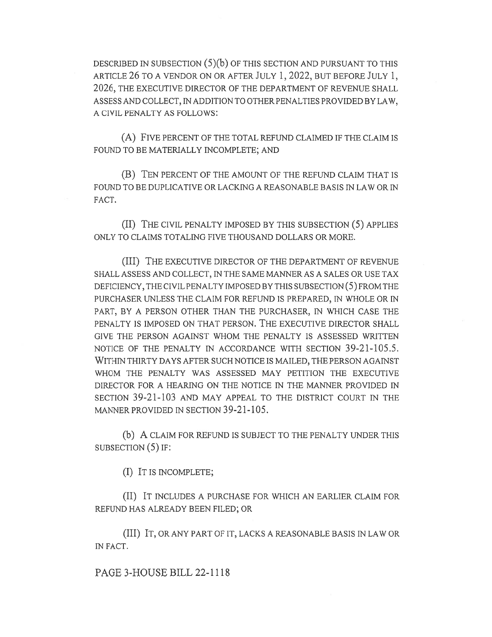DESCRIBED IN SUBSECTION (5)(b) OF THIS SECTION AND PURSUANT TO THIS ARTICLE 26 TO A VENDOR ON OR AFTER JULY 1, 2022, BUT BEFORE JULY 1, 2026, THE EXECUTIVE DIRECTOR OF THE DEPARTMENT OF REVENUE SHALL ASSESS AND COLLECT, IN ADDITION TO OTHER PENALTIES PROVIDED BY LAW, A CIVIL PENALTY AS FOLLOWS:

(A) FIVE PERCENT OF THE TOTAL REFUND CLAIMED IF THE CLAIM IS FOUND TO BE MATERIALLY INCOMPLETE; AND

(B) TEN PERCENT OF THE AMOUNT OF THE REFUND CLAIM THAT IS FOUND TO BE DUPLICATIVE OR LACKING A REASONABLE BASIS IN LAW OR IN FACT.

(II) THE CIVIL PENALTY IMPOSED BY THIS SUBSECTION (5) APPLIES ONLY TO CLAIMS TOTALING FIVE THOUSAND DOLLARS OR MORE.

(III) THE EXECUTIVE DIRECTOR OF THE DEPARTMENT OF REVENUE SHALL ASSESS AND COLLECT, IN THE SAME MANNER AS A SALES OR USE TAX DEFICIENCY, THE CIVIL PENALTY IMPOSED BY THIS SUBSECTION (5) FROM THE PURCHASER UNLESS THE CLAIM FOR REFUND IS PREPARED, IN WHOLE OR IN PART, BY A PERSON OTHER THAN THE PURCHASER, IN WHICH CASE THE PENALTY IS IMPOSED ON THAT PERSON. THE EXECUTIVE DIRECTOR SHALL GIVE THE PERSON AGAINST WHOM THE PENALTY IS ASSESSED WRITTEN NOTICE OF THE PENALTY IN ACCORDANCE WITH SECTION 39-21-105.5. WITHIN THIRTY DAYS AFTER SUCH NOTICE IS MAILED, THE PERSON AGAINST WHOM THE PENALTY WAS ASSESSED MAY PETITION THE EXECUTIVE DIRECTOR FOR A HEARING ON THE NOTICE IN THE MANNER PROVIDED IN SECTION 39-21-103 AND MAY APPEAL TO THE DISTRICT COURT IN THE MANNER PROVIDED IN SECTION 39-21-105.

(b) A CLAIM FOR REFUND IS SUBJECT TO THE PENALTY UNDER THIS SUBSECTION (5) IF:

(I) IT IS INCOMPLETE;

(II) IT INCLUDES A PURCHASE FOR WHICH AN EARLIER CLAIM FOR REFUND HAS ALREADY BEEN FILED; OR

(III) IT, OR ANY PART OF IT, LACKS A REASONABLE BASIS IN LAW OR IN FACT.

PAGE 3-HOUSE BILL 22-1118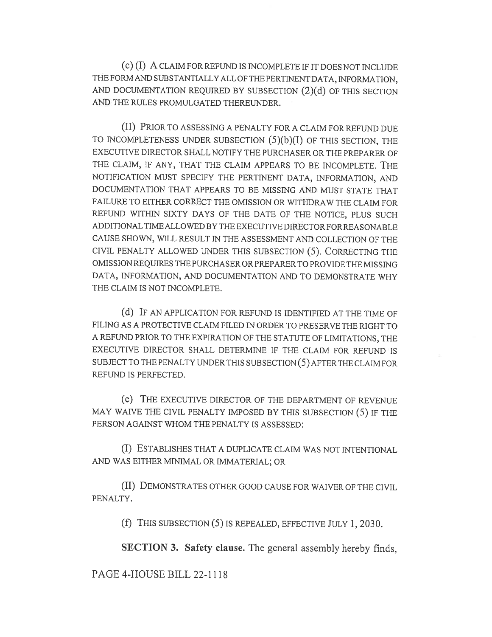(c) (I) A CLAIM FOR REFUND IS INCOMPLETE IF IT DOES NOT INCLUDE THE FORM AND SUBSTANTIALLY ALL OF THE PERTINENT DATA, INFORMATION, AND DOCUMENTATION REQUIRED BY SUBSECTION (2)(d) OF THIS SECTION AND THE RULES PROMULGATED THEREUNDER.

(II) PRIOR TO ASSESSING A PENALTY FOR A CLAIM FOR REFUND DUE TO INCOMPLETENESS UNDER SUBSECTION  $(5)(b)(I)$  OF THIS SECTION, THE EXECUTIVE DIRECTOR SHALL NOTIFY THE PURCHASER OR THE PREPARER OF THE CLAIM, IF ANY, THAT THE CLAIM APPEARS TO BE INCOMPLETE. THE NOTIFICATION MUST SPECIFY THE PERTINENT DATA, INFORMATION, AND DOCUMENTATION THAT APPEARS TO BE MISSING AND MUST STATE THAT FAILURE TO EITHER CORRECT THE OMISSION OR WITHDRAW THE CLAIM FOR REFUND WITHIN SIXTY DAYS OF THE DATE OF THE NOTICE, PLUS SUCH ADDITIONAL TIME ALLOWED BY THE EXECUTIVE DIRECTOR FOR REASONABLE CAUSE SHOWN, WILL RESULT IN THE ASSESSMENT AND COLLECTION OF THE CIVIL PENALTY ALLOWED UNDER THIS SUBSECTION (5). CORRECTING THE OMISSION REQUIRES THE PURCHASER OR PREPARER TO PROVIDE THE MISSING DATA, INFORMATION, AND DOCUMENTATION AND TO DEMONSTRATE WHY THE CLAIM IS NOT INCOMPLETE.

(d) IF AN APPLICATION FOR REFUND IS IDENTIFIED AT THE TIME OF FILING AS A PROTECTIVE CLAIM FILED IN ORDER TO PRESERVE THE RIGHT TO A REFUND PRIOR TO THE EXPIRATION OF THE STATUTE OF LIMITATIONS, THE EXECUTIVE DIRECTOR SHALL DETERMINE IF THE CLAIM FOR REFUND IS SUBJECT TO THE PENALTY UNDER THIS SUBSECTION (5) AFTER THE CLAIM FOR REFUND IS PERFECTED.

(e) THE EXECUTIVE DIRECTOR OF THE DEPARTMENT OF REVENUE MAY WAIVE THE CIVIL PENALTY IMPOSED BY THIS SUBSECTION (5) IF THE PERSON AGAINST WHOM THE PENALTY IS ASSESSED:

(I) ESTABLISHES THAT A DUPLICATE CLAIM WAS NOT INTENTIONAL AND WAS EITHER MINIMAL OR IMMATERIAL; OR

(II) DEMONSTRATES OTHER GOOD CAUSE FOR WAIVER OF THE CIVIL PENALTY.

(f) THIS SUBSECTION (5) IS REPEALED, EFFECTIVE JULY 1, 2030.

SECTION 3. Safety clause. The general assembly hereby finds,

PAGE 4-HOUSE BILL 22-1118